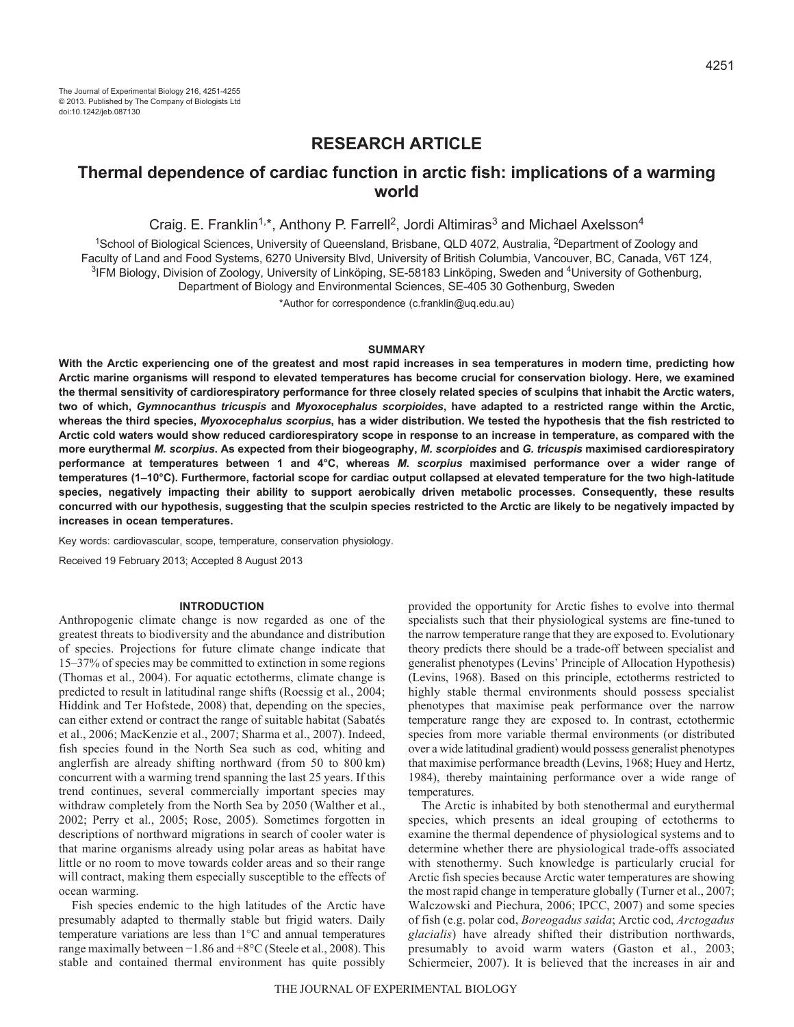# **RESEARCH ARTICLE**

# **Thermal dependence of cardiac function in arctic fish: implications of a warming world**

Craig. E. Franklin<sup>1,\*</sup>, Anthony P. Farrell<sup>2</sup>, Jordi Altimiras<sup>3</sup> and Michael Axelsson<sup>4</sup>

<sup>1</sup>School of Biological Sciences, University of Queensland, Brisbane, QLD 4072, Australia, <sup>2</sup>Department of Zoology and Faculty of Land and Food Systems, 6270 University Blvd, University of British Columbia, Vancouver, BC, Canada, V6T 1Z4, <sup>3</sup>IFM Biology, Division of Zoology, University of Linköping, SE-58183 Linköping, Sweden and <sup>4</sup>University of Gothenburg, Department of Biology and Environmental Sciences, SE-405 30 Gothenburg, Sweden

\*Author for correspondence (c.franklin@uq.edu.au)

# **SUMMARY**

**With the Arctic experiencing one of the greatest and most rapid increases in sea temperatures in modern time, predicting how Arctic marine organisms will respond to elevated temperatures has become crucial for conservation biology. Here, we examined the thermal sensitivity of cardiorespiratory performance for three closely related species of sculpins that inhabit the Arctic waters, two of which,** *Gymnocanthus tricuspis* **and** *Myoxocephalus scorpioides***, have adapted to a restricted range within the Arctic, whereas the third species,** *Myoxocephalus scorpius***, has a wider distribution. We tested the hypothesis that the fish restricted to Arctic cold waters would show reduced cardiorespiratory scope in response to an increase in temperature, as compared with the more eurythermal** *M. scorpius***. As expected from their biogeography,** *M. scorpioides* **and** *G. tricuspis* **maximised cardiorespiratory performance at temperatures between 1 and 4°C, whereas** *M. scorpius* **maximised performance over a wider range of temperatures (1–10°C). Furthermore, factorial scope for cardiac output collapsed at elevated temperature for the two high-latitude species, negatively impacting their ability to support aerobically driven metabolic processes. Consequently, these results concurred with our hypothesis, suggesting that the sculpin species restricted to the Arctic are likely to be negatively impacted by increases in ocean temperatures.**

Key words: cardiovascular, scope, temperature, conservation physiology.

Received 19 February 2013; Accepted 8 August 2013

### **INTRODUCTION**

Anthropogenic climate change is now regarded as one of the greatest threats to biodiversity and the abundance and distribution of species. Projections for future climate change indicate that 15–37% of species may be committed to extinction in some regions (Thomas et al., 2004). For aquatic ectotherms, climate change is predicted to result in latitudinal range shifts (Roessig et al., 2004; Hiddink and Ter Hofstede, 2008) that, depending on the species, can either extend or contract the range of suitable habitat (Sabatés et al., 2006; MacKenzie et al., 2007; Sharma et al., 2007). Indeed, fish species found in the North Sea such as cod, whiting and anglerfish are already shifting northward (from 50 to 800 km) concurrent with a warming trend spanning the last 25 years. If this trend continues, several commercially important species may withdraw completely from the North Sea by 2050 (Walther et al., 2002; Perry et al., 2005; Rose, 2005). Sometimes forgotten in descriptions of northward migrations in search of cooler water is that marine organisms already using polar areas as habitat have little or no room to move towards colder areas and so their range will contract, making them especially susceptible to the effects of ocean warming.

Fish species endemic to the high latitudes of the Arctic have presumably adapted to thermally stable but frigid waters. Daily temperature variations are less than 1°C and annual temperatures range maximally between −1.86 and +8°C (Steele et al., 2008). This stable and contained thermal environment has quite possibly provided the opportunity for Arctic fishes to evolve into thermal specialists such that their physiological systems are fine-tuned to the narrow temperature range that they are exposed to. Evolutionary theory predicts there should be a trade-off between specialist and generalist phenotypes (Levins' Principle of Allocation Hypothesis) (Levins, 1968). Based on this principle, ectotherms restricted to highly stable thermal environments should possess specialist phenotypes that maximise peak performance over the narrow temperature range they are exposed to. In contrast, ectothermic species from more variable thermal environments (or distributed over a wide latitudinal gradient) would possess generalist phenotypes that maximise performance breadth (Levins, 1968; Huey and Hertz, 1984), thereby maintaining performance over a wide range of temperatures.

The Arctic is inhabited by both stenothermal and eurythermal species, which presents an ideal grouping of ectotherms to examine the thermal dependence of physiological systems and to determine whether there are physiological trade-offs associated with stenothermy. Such knowledge is particularly crucial for Arctic fish species because Arctic water temperatures are showing the most rapid change in temperature globally (Turner et al., 2007; Walczowski and Piechura, 2006; IPCC, 2007) and some species of fish (e.g. polar cod, *Boreogadus saida*; Arctic cod, *Arctogadus glacialis*) have already shifted their distribution northwards, presumably to avoid warm waters (Gaston et al., 2003; Schiermeier, 2007). It is believed that the increases in air and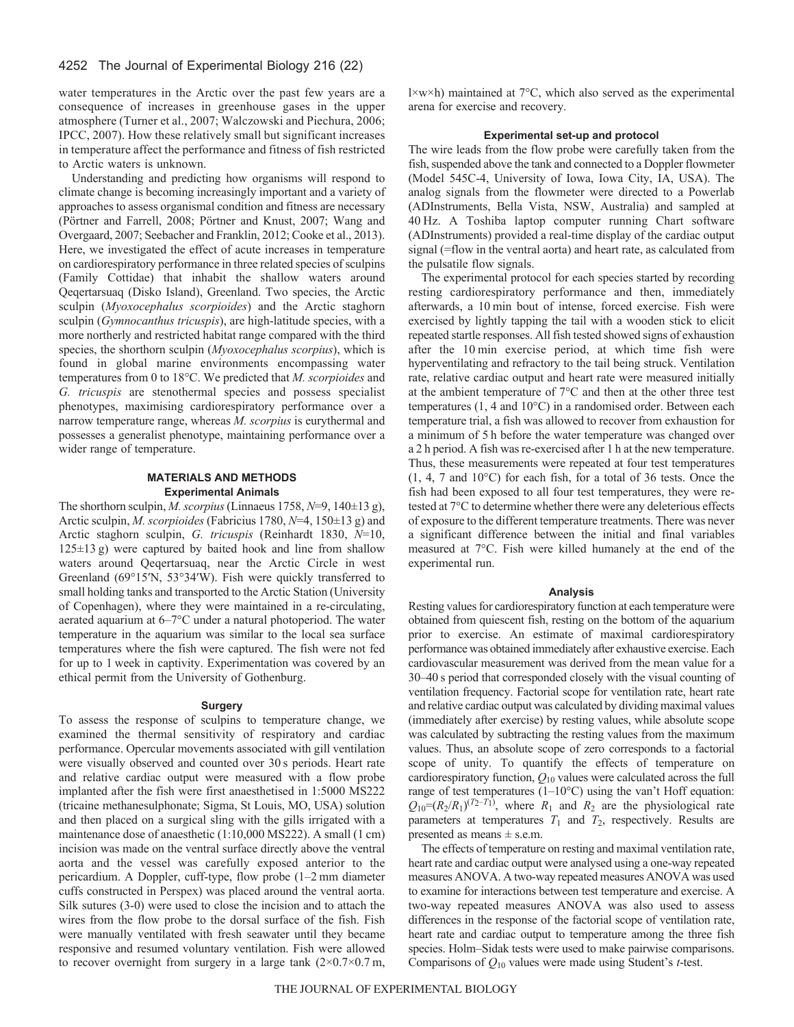# 4252 The Journal of Experimental Biology 216 (22)

water temperatures in the Arctic over the past few years are a consequence of increases in greenhouse gases in the upper atmosphere (Turner et al., 2007; Walczowski and Piechura, 2006; IPCC, 2007). How these relatively small but significant increases in temperature affect the performance and fitness of fish restricted to Arctic waters is unknown.

Understanding and predicting how organisms will respond to climate change is becoming increasingly important and a variety of approaches to assess organismal condition and fitness are necessary (Pörtner and Farrell, 2008; Pörtner and Knust, 2007; Wang and Overgaard, 2007; Seebacher and Franklin, 2012; Cooke et al., 2013). Here, we investigated the effect of acute increases in temperature on cardiorespiratory performance in three related species of sculpins (Family Cottidae) that inhabit the shallow waters around Qeqertarsuaq (Disko Island), Greenland. Two species, the Arctic sculpin (*Myoxocephalus scorpioides*) and the Arctic staghorn sculpin (*Gymnocanthus tricuspis*), are high-latitude species, with a more northerly and restricted habitat range compared with the third species, the shorthorn sculpin (*Myoxocephalus scorpius*), which is found in global marine environments encompassing water temperatures from 0 to 18°C. We predicted that *M. scorpioides* and *G. tricuspis* are stenothermal species and possess specialist phenotypes, maximising cardiorespiratory performance over a narrow temperature range, whereas *M. scorpius* is eurythermal and possesses a generalist phenotype, maintaining performance over a wider range of temperature.

# **MATERIALS AND METHODS Experimental Animals**

The shorthorn sculpin, *M. scorpius*(Linnaeus 1758, *N*=9, 140±13 g), Arctic sculpin, *M. scorpioides* (Fabricius 1780, *N*=4, 150±13 g) and Arctic staghorn sculpin, *G. tricuspis* (Reinhardt 1830, *N*=10, 125±13 g) were captured by baited hook and line from shallow waters around Qeqertarsuaq, near the Arctic Circle in west Greenland (69°15′N, 53°34′W). Fish were quickly transferred to small holding tanks and transported to the Arctic Station (University of Copenhagen), where they were maintained in a re-circulating, aerated aquarium at 6–7°C under a natural photoperiod. The water temperature in the aquarium was similar to the local sea surface temperatures where the fish were captured. The fish were not fed for up to 1 week in captivity. Experimentation was covered by an ethical permit from the University of Gothenburg.

# **Surgery**

To assess the response of sculpins to temperature change, we examined the thermal sensitivity of respiratory and cardiac performance. Opercular movements associated with gill ventilation were visually observed and counted over 30 s periods. Heart rate and relative cardiac output were measured with a flow probe implanted after the fish were first anaesthetised in 1:5000 MS222 (tricaine methanesulphonate; Sigma, St Louis, MO, USA) solution and then placed on a surgical sling with the gills irrigated with a maintenance dose of anaesthetic (1:10,000 MS222). A small (1 cm) incision was made on the ventral surface directly above the ventral aorta and the vessel was carefully exposed anterior to the pericardium. A Doppler, cuff-type, flow probe (1–2 mm diameter cuffs constructed in Perspex) was placed around the ventral aorta. Silk sutures (3-0) were used to close the incision and to attach the wires from the flow probe to the dorsal surface of the fish. Fish were manually ventilated with fresh seawater until they became responsive and resumed voluntary ventilation. Fish were allowed to recover overnight from surgery in a large tank  $(2\times0.7\times0.7 \text{ m})$ ,

 $l \times w \times h$ ) maintained at 7°C, which also served as the experimental arena for exercise and recovery.

# **Experimental set-up and protocol**

The wire leads from the flow probe were carefully taken from the fish, suspended above the tank and connected to a Doppler flowmeter (Model 545C-4, University of Iowa, Iowa City, IA, USA). The analog signals from the flowmeter were directed to a Powerlab (ADInstruments, Bella Vista, NSW, Australia) and sampled at 40 Hz. A Toshiba laptop computer running Chart software (ADInstruments) provided a real-time display of the cardiac output signal (=flow in the ventral aorta) and heart rate, as calculated from the pulsatile flow signals.

The experimental protocol for each species started by recording resting cardiorespiratory performance and then, immediately afterwards, a 10 min bout of intense, forced exercise. Fish were exercised by lightly tapping the tail with a wooden stick to elicit repeated startle responses. All fish tested showed signs of exhaustion after the 10 min exercise period, at which time fish were hyperventilating and refractory to the tail being struck. Ventilation rate, relative cardiac output and heart rate were measured initially at the ambient temperature of 7°C and then at the other three test temperatures (1, 4 and 10°C) in a randomised order. Between each temperature trial, a fish was allowed to recover from exhaustion for a minimum of 5 h before the water temperature was changed over a 2 h period. A fish was re-exercised after 1 h at the new temperature. Thus, these measurements were repeated at four test temperatures (1, 4, 7 and 10°C) for each fish, for a total of 36 tests. Once the fish had been exposed to all four test temperatures, they were retested at 7°C to determine whether there were any deleterious effects of exposure to the different temperature treatments. There was never a significant difference between the initial and final variables measured at 7°C. Fish were killed humanely at the end of the experimental run.

### **Analysis**

Resting values for cardiorespiratory function at each temperature were obtained from quiescent fish, resting on the bottom of the aquarium prior to exercise. An estimate of maximal cardiorespiratory performance was obtained immediately after exhaustive exercise. Each cardiovascular measurement was derived from the mean value for a 30–40 s period that corresponded closely with the visual counting of ventilation frequency. Factorial scope for ventilation rate, heart rate and relative cardiac output was calculated by dividing maximal values (immediately after exercise) by resting values, while absolute scope was calculated by subtracting the resting values from the maximum values. Thus, an absolute scope of zero corresponds to a factorial scope of unity. To quantify the effects of temperature on cardiorespiratory function, *Q*<sup>10</sup> values were calculated across the full range of test temperatures (1–10°C) using the van't Hoff equation:  $Q_{10} = (R_2/R_1)^{(T_2-T_1)}$ , where  $R_1$  and  $R_2$  are the physiological rate parameters at temperatures  $T_1$  and  $T_2$ , respectively. Results are presented as means  $\pm$  s.e.m.

The effects of temperature on resting and maximal ventilation rate, heart rate and cardiac output were analysed using a one-way repeated measures ANOVA. A two-way repeated measures ANOVA was used to examine for interactions between test temperature and exercise. A two-way repeated measures ANOVA was also used to assess differences in the response of the factorial scope of ventilation rate, heart rate and cardiac output to temperature among the three fish species. Holm–Sidak tests were used to make pairwise comparisons. Comparisons of *Q*<sup>10</sup> values were made using Student's *t*-test.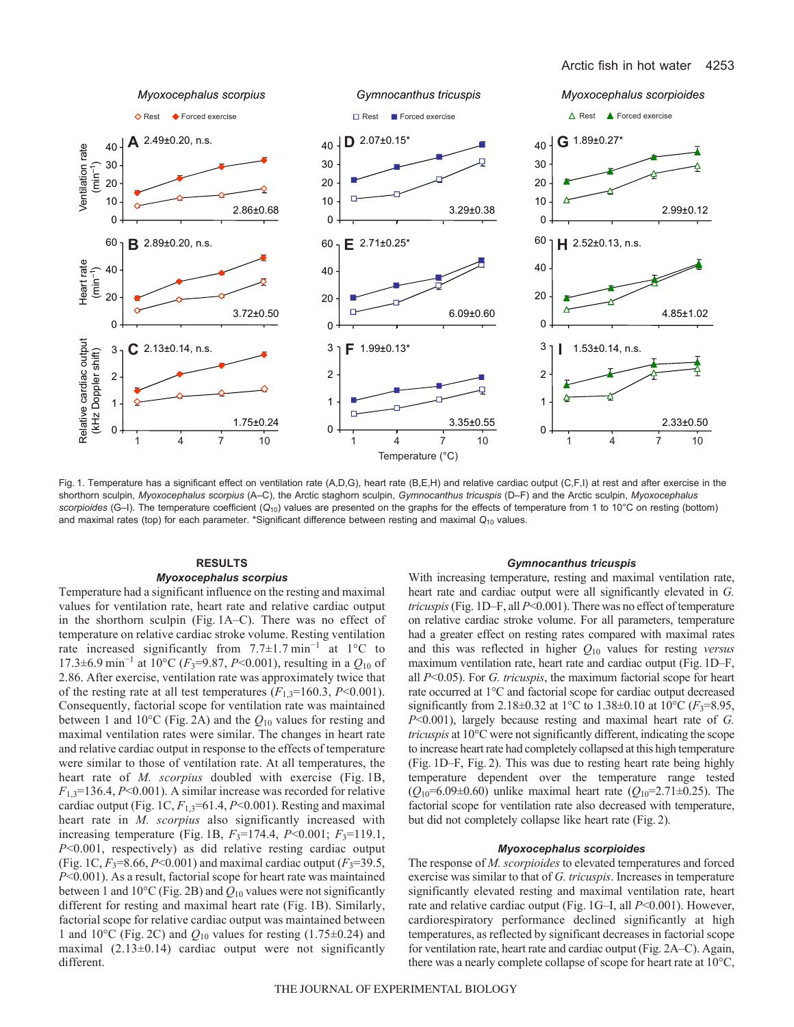

Fig. 1. Temperature has a significant effect on ventilation rate (A,D,G), heart rate (B,E,H) and relative cardiac output (C,F,I) at rest and after exercise in the shorthorn sculpin, *Myoxocephalus scorpius* (A–C), the Arctic staghorn sculpin, *Gymnocanthus tricuspis* (D–F) and the Arctic sculpin, *Myoxocephalus scorpioides* (G–I). The temperature coefficient (*Q*10) values are presented on the graphs for the effects of temperature from 1 to 10°C on resting (bottom) and maximal rates (top) for each parameter. \*Significant difference between resting and maximal  $Q_{10}$  values.

# **RESULTS** *Myoxocephalus scorpius*

Temperature had a significant influence on the resting and maximal values for ventilation rate, heart rate and relative cardiac output in the shorthorn sculpin (Fig. 1A–C). There was no effect of temperature on relative cardiac stroke volume. Resting ventilation rate increased significantly from 7.7±1.7 min<sup>−</sup><sup>1</sup> at 1°C to 17.3±6.9 min<sup>−</sup><sup>1</sup> at 10°C (*F*3=9.87, *P*<0.001), resulting in a *Q*<sup>10</sup> of 2.86. After exercise, ventilation rate was approximately twice that of the resting rate at all test temperatures  $(F_{1,3}=160.3, P<0.001)$ . Consequently, factorial scope for ventilation rate was maintained between 1 and 10°C (Fig. 2A) and the *Q*<sup>10</sup> values for resting and maximal ventilation rates were similar. The changes in heart rate and relative cardiac output in response to the effects of temperature were similar to those of ventilation rate. At all temperatures, the heart rate of *M. scorpius* doubled with exercise (Fig. 1B,  $F_{1,3}=136.4, P<0.001$ ). A similar increase was recorded for relative cardiac output (Fig. 1C,  $F_{1,3}$ =61.4,  $P$  < 0.001). Resting and maximal heart rate in *M. scorpius* also significantly increased with increasing temperature (Fig. 1B,  $F_3=174.4$ ,  $P<0.001$ ;  $F_3=119.1$ , *P*<0.001, respectively) as did relative resting cardiac output (Fig. 1C,  $F_3 = 8.66$ ,  $P < 0.001$ ) and maximal cardiac output ( $F_3 = 39.5$ , *P*<0.001). As a result, factorial scope for heart rate was maintained between 1 and 10 $^{\circ}$ C (Fig. 2B) and  $Q_{10}$  values were not significantly different for resting and maximal heart rate (Fig. 1B). Similarly, factorial scope for relative cardiac output was maintained between 1 and 10 $^{\circ}$ C (Fig. 2C) and  $Q_{10}$  values for resting (1.75 $\pm$ 0.24) and maximal (2.13±0.14) cardiac output were not significantly different.

### *Gymnocanthus tricuspis*

With increasing temperature, resting and maximal ventilation rate, heart rate and cardiac output were all significantly elevated in *G. tricuspis*(Fig. 1D–F, all *P*<0.001). There was no effect of temperature on relative cardiac stroke volume. For all parameters, temperature had a greater effect on resting rates compared with maximal rates and this was reflected in higher *Q*<sup>10</sup> values for resting *versus* maximum ventilation rate, heart rate and cardiac output (Fig. 1D–F, all *P*<0.05). For *G. tricuspis*, the maximum factorial scope for heart rate occurred at 1°C and factorial scope for cardiac output decreased significantly from 2.18±0.32 at 1°C to 1.38±0.10 at 10°C ( $F_3$ =8.95, *P*<0.001), largely because resting and maximal heart rate of *G. tricuspis* at 10°C were not significantly different, indicating the scope to increase heart rate had completely collapsed at this high temperature (Fig. 1D–F, Fig. 2). This was due to resting heart rate being highly temperature dependent over the temperature range tested  $(Q_{10} = 6.09 \pm 0.60)$  unlike maximal heart rate  $(Q_{10} = 2.71 \pm 0.25)$ . The factorial scope for ventilation rate also decreased with temperature, but did not completely collapse like heart rate (Fig. 2).

# *Myoxocephalus scorpioides*

The response of *M. scorpioides* to elevated temperatures and forced exercise was similar to that of *G. tricuspis*. Increases in temperature significantly elevated resting and maximal ventilation rate, heart rate and relative cardiac output (Fig. 1G–I, all *P*<0.001). However, cardiorespiratory performance declined significantly at high temperatures, as reflected by significant decreases in factorial scope for ventilation rate, heart rate and cardiac output (Fig. 2A–C). Again, there was a nearly complete collapse of scope for heart rate at 10°C,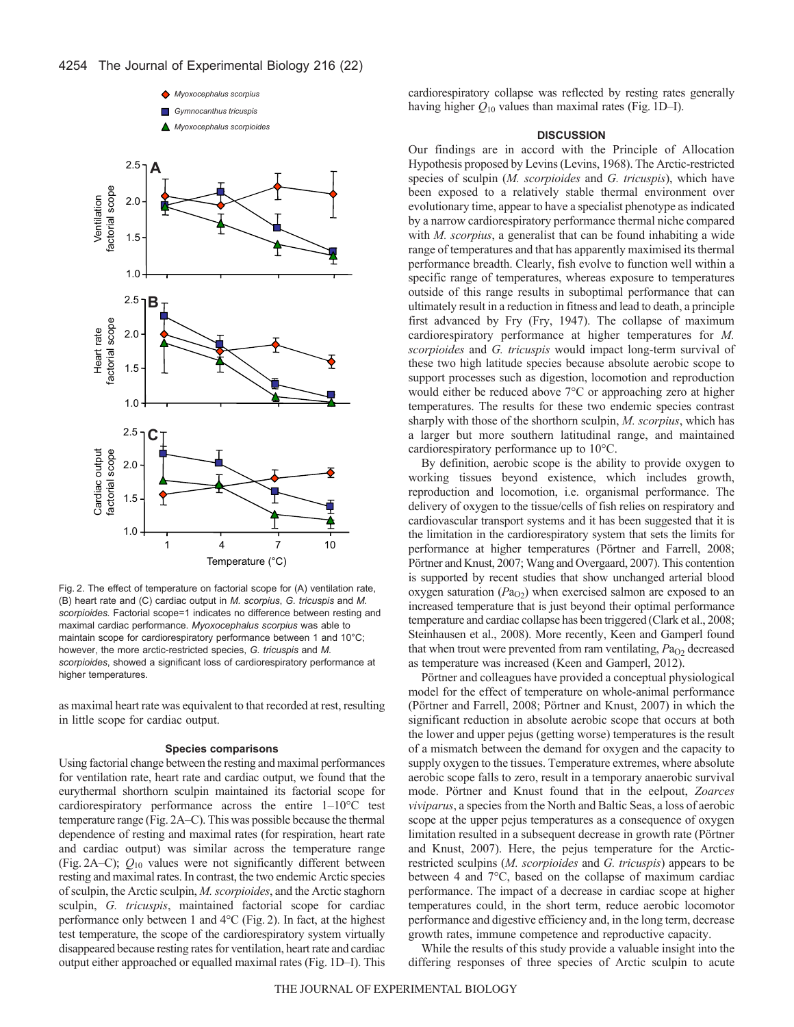

Fig. 2. The effect of temperature on factorial scope for (A) ventilation rate, (B) heart rate and (C) cardiac output in *M. scorpius*, *G. tricuspis* and *M. scorpioides.* Factorial scope=1 indicates no difference between resting and maximal cardiac performance. *Myoxocephalus scorpius* was able to maintain scope for cardiorespiratory performance between 1 and 10°C; however, the more arctic-restricted species, *G. tricuspis* and *M. scorpioides*, showed a significant loss of cardiorespiratory performance at higher temperatures.

as maximal heart rate was equivalent to that recorded at rest, resulting in little scope for cardiac output.

#### **Species comparisons**

Using factorial change between the resting and maximal performances for ventilation rate, heart rate and cardiac output, we found that the eurythermal shorthorn sculpin maintained its factorial scope for cardiorespiratory performance across the entire 1–10°C test temperature range (Fig. 2A–C). This was possible because the thermal dependence of resting and maximal rates (for respiration, heart rate and cardiac output) was similar across the temperature range (Fig. 2A–C); *Q*<sup>10</sup> values were not significantly different between resting and maximal rates. In contrast, the two endemic Arctic species of sculpin, the Arctic sculpin, *M. scorpioides*, and the Arctic staghorn sculpin, *G. tricuspis*, maintained factorial scope for cardiac performance only between 1 and 4°C (Fig. 2). In fact, at the highest test temperature, the scope of the cardiorespiratory system virtually disappeared because resting rates for ventilation, heart rate and cardiac output either approached or equalled maximal rates (Fig. 1D–I). This cardiorespiratory collapse was reflected by resting rates generally having higher *Q*<sup>10</sup> values than maximal rates (Fig. 1D–I).

# **DISCUSSION**

Our findings are in accord with the Principle of Allocation Hypothesis proposed by Levins (Levins, 1968). The Arctic-restricted species of sculpin (*M. scorpioides* and *G. tricuspis*), which have been exposed to a relatively stable thermal environment over evolutionary time, appear to have a specialist phenotype as indicated by a narrow cardiorespiratory performance thermal niche compared with *M. scorpius*, a generalist that can be found inhabiting a wide range of temperatures and that has apparently maximised its thermal performance breadth. Clearly, fish evolve to function well within a specific range of temperatures, whereas exposure to temperatures outside of this range results in suboptimal performance that can ultimately result in a reduction in fitness and lead to death, a principle first advanced by Fry (Fry, 1947). The collapse of maximum cardiorespiratory performance at higher temperatures for *M. scorpioides* and *G. tricuspis* would impact long-term survival of these two high latitude species because absolute aerobic scope to support processes such as digestion, locomotion and reproduction would either be reduced above 7°C or approaching zero at higher temperatures. The results for these two endemic species contrast sharply with those of the shorthorn sculpin, *M. scorpius*, which has a larger but more southern latitudinal range, and maintained cardiorespiratory performance up to 10°C.

By definition, aerobic scope is the ability to provide oxygen to working tissues beyond existence, which includes growth, reproduction and locomotion, i.e. organismal performance. The delivery of oxygen to the tissue/cells of fish relies on respiratory and cardiovascular transport systems and it has been suggested that it is the limitation in the cardiorespiratory system that sets the limits for performance at higher temperatures (Pörtner and Farrell, 2008; Pörtner and Knust, 2007; Wang and Overgaard, 2007). This contention is supported by recent studies that show unchanged arterial blood oxygen saturation  $(Pa_{Q2})$  when exercised salmon are exposed to an increased temperature that is just beyond their optimal performance temperature and cardiac collapse has been triggered (Clark et al., 2008; Steinhausen et al., 2008). More recently, Keen and Gamperl found that when trout were prevented from ram ventilating,  $Pa<sub>O2</sub>$  decreased as temperature was increased (Keen and Gamperl, 2012).

Pörtner and colleagues have provided a conceptual physiological model for the effect of temperature on whole-animal performance (Pörtner and Farrell, 2008; Pörtner and Knust, 2007) in which the significant reduction in absolute aerobic scope that occurs at both the lower and upper pejus (getting worse) temperatures is the result of a mismatch between the demand for oxygen and the capacity to supply oxygen to the tissues. Temperature extremes, where absolute aerobic scope falls to zero, result in a temporary anaerobic survival mode. Pörtner and Knust found that in the eelpout, *Zoarces viviparus*, a species from the North and Baltic Seas, a loss of aerobic scope at the upper pejus temperatures as a consequence of oxygen limitation resulted in a subsequent decrease in growth rate (Pörtner and Knust, 2007). Here, the pejus temperature for the Arcticrestricted sculpins (*M. scorpioides* and *G. tricuspis*) appears to be between 4 and 7°C, based on the collapse of maximum cardiac performance. The impact of a decrease in cardiac scope at higher temperatures could, in the short term, reduce aerobic locomotor performance and digestive efficiency and, in the long term, decrease growth rates, immune competence and reproductive capacity.

While the results of this study provide a valuable insight into the differing responses of three species of Arctic sculpin to acute